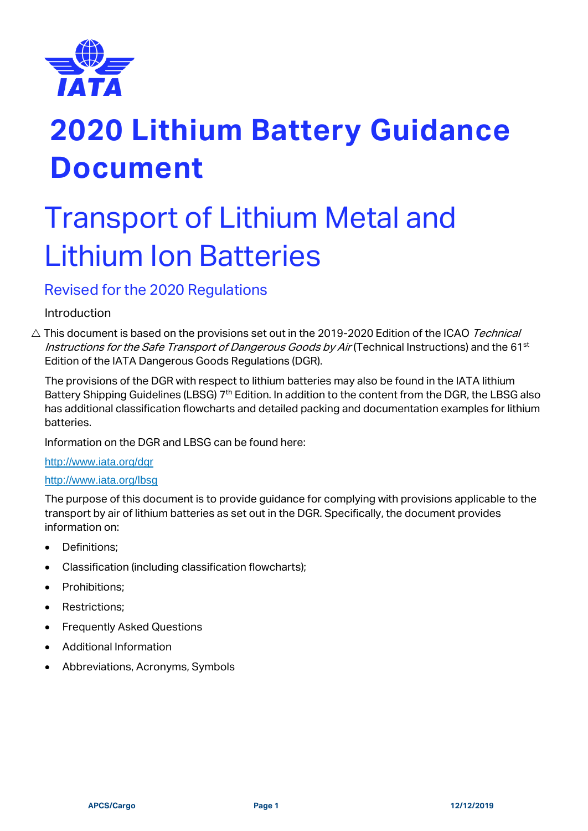

# Transport of Lithium Metal and Lithium Ion Batteries

# Revised for the 2020 Regulations

# Introduction

 $\triangle$  This document is based on the provisions set out in the 2019-2020 Edition of the ICAO Technical Instructions for the Safe Transport of Dangerous Goods by Air (Technical Instructions) and the 61<sup>st</sup> Edition of the IATA Dangerous Goods Regulations (DGR).

The provisions of the DGR with respect to lithium batteries may also be found in the IATA lithium Battery Shipping Guidelines (LBSG) 7<sup>th</sup> Edition. In addition to the content from the DGR, the LBSG also has additional classification flowcharts and detailed packing and documentation examples for lithium batteries.

Information on the DGR and LBSG can be found here:

## <http://www.iata.org/dgr>

## <http://www.iata.org/lbsg>

The purpose of this document is to provide guidance for complying with provisions applicable to the transport by air of lithium batteries as set out in the DGR. Specifically, the document provides information on:

- Definitions;
- Classification (including classification flowcharts);
- Prohibitions;
- Restrictions;
- Frequently Asked Questions
- Additional Information
- Abbreviations, Acronyms, Symbols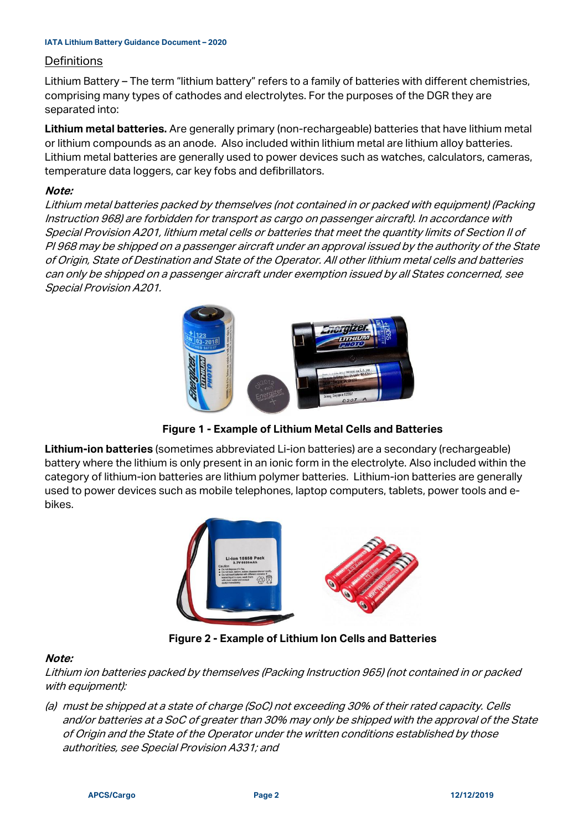#### **Definitions**

Lithium Battery – The term "lithium battery" refers to a family of batteries with different chemistries, comprising many types of cathodes and electrolytes. For the purposes of the DGR they are separated into:

**Lithium metal batteries.** Are generally primary (non-rechargeable) batteries that have lithium metal or lithium compounds as an anode. Also included within lithium metal are lithium alloy batteries. Lithium metal batteries are generally used to power devices such as watches, calculators, cameras, temperature data loggers, car key fobs and defibrillators.

#### **Note:**

Lithium metal batteries packed by themselves (not contained in or packed with equipment) (Packing Instruction 968) are forbidden for transport as cargo on passenger aircraft). In accordance with Special Provision A201, lithium metal cells or batteries that meet the quantity limits of Section II of PI 968 may be shipped on a passenger aircraft under an approval issued by the authority of the State of Origin, State of Destination and State of the Operator. All other lithium metal cells and batteries can only be shipped on a passenger aircraft under exemption issued by all States concerned, see Special Provision A201.



**Figure 1 - Example of Lithium Metal Cells and Batteries**

**Lithium-ion batteries** (sometimes abbreviated Li-ion batteries) are a secondary (rechargeable) battery where the lithium is only present in an ionic form in the electrolyte. Also included within the category of lithium-ion batteries are lithium polymer batteries. Lithium-ion batteries are generally used to power devices such as mobile telephones, laptop computers, tablets, power tools and ebikes.



**Figure 2 - Example of Lithium Ion Cells and Batteries**

## **Note:**

Lithium ion batteries packed by themselves (Packing Instruction 965) (not contained in or packed with equipment):

(a) must be shipped at a state of charge (SoC) not exceeding 30% of their rated capacity. Cells and/or batteries at a SoC of greater than 30% may only be shipped with the approval of the State of Origin and the State of the Operator under the written conditions established by those authorities, see Special Provision A331; and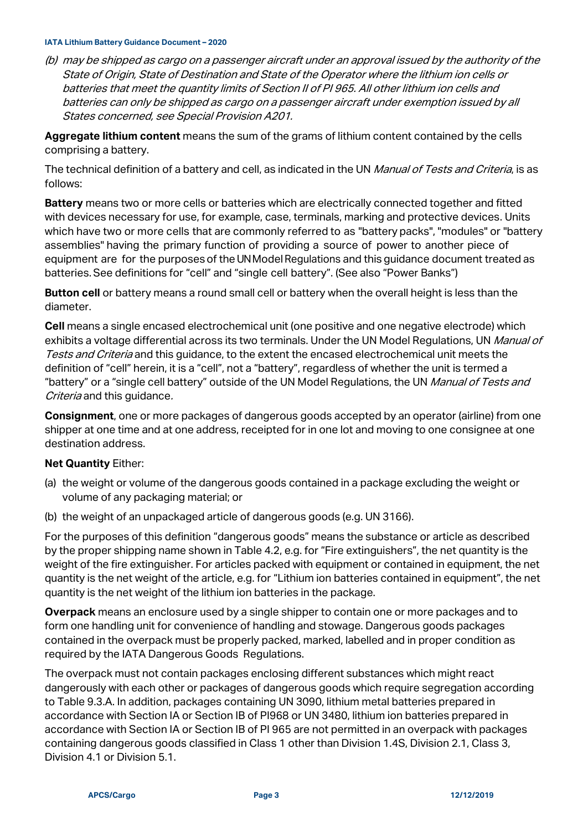(b) may be shipped as cargo on a passenger aircraft under an approval issued by the authority of the State of Origin, State of Destination and State of the Operator where the lithium ion cells or batteries that meet the quantity limits of Section II of PI 965. All other lithium ion cells and batteries can only be shipped as cargo on a passenger aircraft under exemption issued by all States concerned, see Special Provision A201.

**Aggregate lithium content** means the sum of the grams of lithium content contained by the cells comprising a battery.

The technical definition of a battery and cell, as indicated in the UN Manual of Tests and Criteria, is as follows:

**Battery** means two or more cells or batteries which are electrically connected together and fitted with devices necessary for use, for example, case, terminals, marking and protective devices. Units which have two or more cells that are commonly referred to as "battery packs", "modules" or "battery assemblies" having the primary function of providing a source of power to another piece of equipment are for the purposes of the UNModel Regulations and this quidance document treated as batteries. See definitions for "cell" and "single cell battery". (See also "Power Banks")

**Button cell** or battery means a round small cell or battery when the overall height is less than the diameter.

**Cell** means a single encased electrochemical unit (one positive and one negative electrode) which exhibits a voltage differential across its two terminals. Under the UN Model Regulations, UN Manual of Tests and Criteria and this guidance, to the extent the encased electrochemical unit meets the definition of "cell" herein, it is a "cell", not a "battery", regardless of whether the unit is termed a "battery" or a "single cell battery" outside of the UN Model Regulations, the UN Manual of Tests and Criteria and this quidance.

**Consignment**, one or more packages of dangerous goods accepted by an operator (airline) from one shipper at one time and at one address, receipted for in one lot and moving to one consignee at one destination address.

#### **Net Quantity** Either:

- (a) the weight or volume of the dangerous goods contained in a package excluding the weight or volume of any packaging material; or
- (b) the weight of an unpackaged article of dangerous goods (e.g. UN 3166).

For the purposes of this definition "dangerous goods" means the substance or article as described by the proper shipping name shown in Table 4.2, e.g. for "Fire extinguishers", the net quantity is the weight of the fire extinguisher. For articles packed with equipment or contained in equipment, the net quantity is the net weight of the article, e.g. for "Lithium ion batteries contained in equipment", the net quantity is the net weight of the lithium ion batteries in the package.

**Overpack** means an enclosure used by a single shipper to contain one or more packages and to form one handling unit for convenience of handling and stowage. Dangerous goods packages contained in the overpack must be properly packed, marked, labelled and in proper condition as required by the IATA Dangerous Goods Regulations.

The overpack must not contain packages enclosing different substances which might react dangerously with each other or packages of dangerous goods which require segregation according to Table 9.3.A. In addition, packages containing UN 3090, lithium metal batteries prepared in accordance with Section IA or Section IB of PI968 or UN 3480, lithium ion batteries prepared in accordance with Section IA or Section IB of PI 965 are not permitted in an overpack with packages containing dangerous goods classified in Class 1 other than Division 1.4S, Division 2.1, Class 3, Division 4.1 or Division 5.1.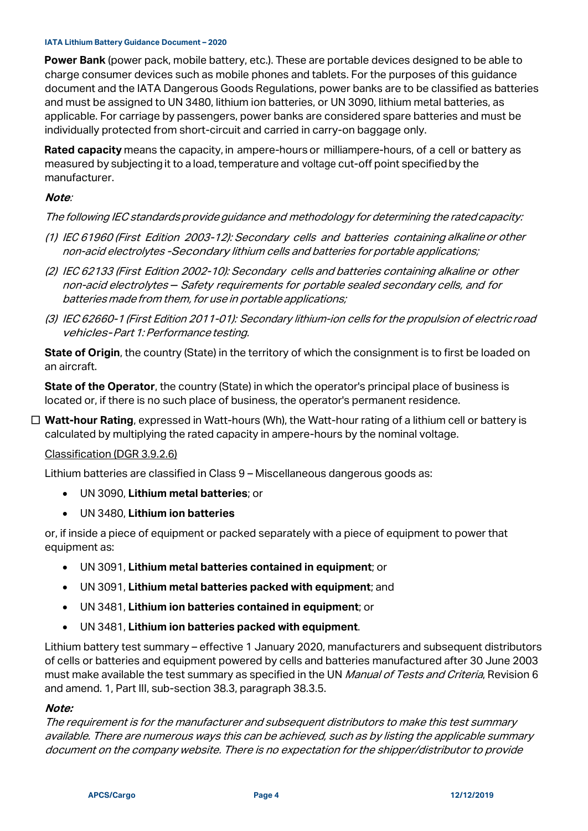**Power Bank** (power pack, mobile battery, etc.). These are portable devices designed to be able to charge consumer devices such as mobile phones and tablets. For the purposes of this guidance document and the IATA Dangerous Goods Regulations, power banks are to be classified as batteries and must be assigned to UN 3480, lithium ion batteries, or UN 3090, lithium metal batteries, as applicable. For carriage by passengers, power banks are considered spare batteries and must be individually protected from short-circuit and carried in carry-on baggage only.

**Rated capacity** means the capacity, in ampere-hours or milliampere-hours, of a cell or battery as measured by subjecting it to a load, temperature and voltage cut-off point specified by the manufacturer.

## **Note**:

## The following IEC standards provide guidance and methodology for determining the rated capacity:

- (1) IEC 61960 (First Edition 2003-12): Secondary cells and batteries containing alkalineor other non-acid electrolytes -Secondary lithium cells and batteries for portable applications;
- (2) IEC 62133 (First Edition 2002-10): Secondary cells and batteries containing alkaline or other non-acid electrolytes - Safety requirements for portable sealed secondary cells, and for batteries made from them, for use in portable applications;
- (3) IEC 62660-1 (First Edition 2011-01): Secondary lithium-ion cells for the propulsion of electricroad vehicles-Part 1: Performance testing.

**State of Origin**, the country (State) in the territory of which the consignment is to first be loaded on an aircraft.

**State of the Operator**, the country (State) in which the operator's principal place of business is located or, if there is no such place of business, the operator's permanent residence.

 **Watt-hour Rating**, expressed in Watt-hours (Wh), the Watt-hour rating of a lithium cell or battery is calculated by multiplying the rated capacity in ampere-hours by the nominal voltage.

#### Classification (DGR 3.9.2.6)

Lithium batteries are classified in Class 9 – Miscellaneous dangerous goods as:

- UN 3090, **Lithium metal batteries**; or
- UN 3480, **Lithium ion batteries**

or, if inside a piece of equipment or packed separately with a piece of equipment to power that equipment as:

- UN 3091, **Lithium metal batteries contained in equipment**; or
- UN 3091, **Lithium metal batteries packed with equipment**; and
- UN 3481, **Lithium ion batteries contained in equipment**; or
- UN 3481, **Lithium ion batteries packed with equipment**.

Lithium battery test summary – effective 1 January 2020, manufacturers and subsequent distributors of cells or batteries and equipment powered by cells and batteries manufactured after 30 June 2003 must make available the test summary as specified in the UN Manual of Tests and Criteria, Revision 6 and amend. 1, Part III, sub-section 38.3, paragraph 38.3.5.

#### **Note:**

The requirement is for the manufacturer and subsequent distributors to make this test summary available. There are numerous ways this can be achieved, such as by listing the applicable summary document on the company website. There is no expectation for the shipper/distributor to provide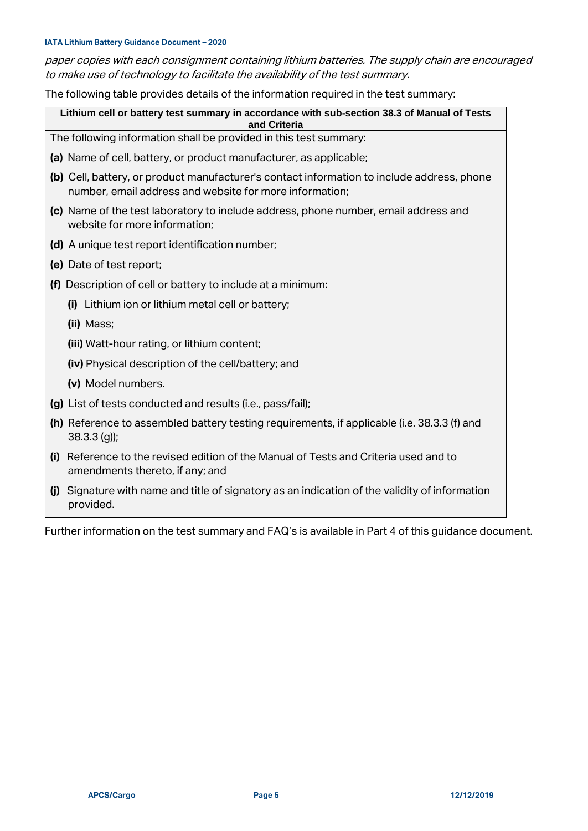paper copies with each consignment containing lithium batteries. The supply chain are encouraged to make use of technology to facilitate the availability of the test summary.

The following table provides details of the information required in the test summary:

**Lithium cell or battery test summary in accordance with sub-section 38.3 of Manual of Tests and Criteria**

The following information shall be provided in this test summary:

- **(a)** Name of cell, battery, or product manufacturer, as applicable;
- **(b)** Cell, battery, or product manufacturer's contact information to include address, phone number, email address and website for more information;
- **(c)** Name of the test laboratory to include address, phone number, email address and website for more information;
- **(d)** A unique test report identification number;
- **(e)** Date of test report;
- **(f)** Description of cell or battery to include at a minimum:
	- **(i)** Lithium ion or lithium metal cell or battery;
	- **(ii)** Mass;

**(iii)** Watt-hour rating, or lithium content;

- **(iv)** Physical description of the cell/battery; and
- **(v)** Model numbers.
- **(g)** List of tests conducted and results (i.e., pass/fail);
- **(h)** Reference to assembled battery testing requirements, if applicable (i.e. 38.3.3 (f) and 38.3.3 (g));
- **(i)** Reference to the revised edition of the Manual of Tests and Criteria used and to amendments thereto, if any; and
- **(j)** Signature with name and title of signatory as an indication of the validity of information provided.

Further information on the test summary and FAQ's is available i[n Part 4](#page-20-0) of this guidance document.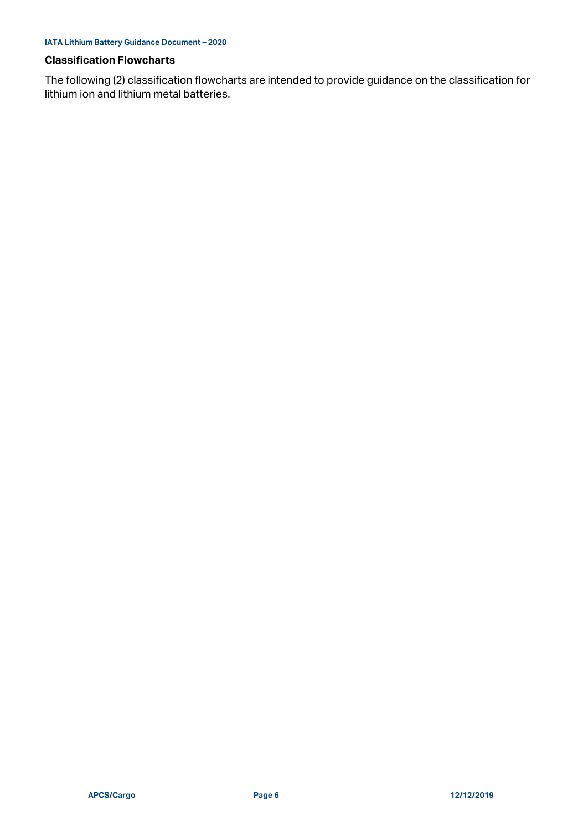#### **Classification Flowcharts**

The following (2) classification flowcharts are intended to provide guidance on the classification for lithium ion and lithium metal batteries.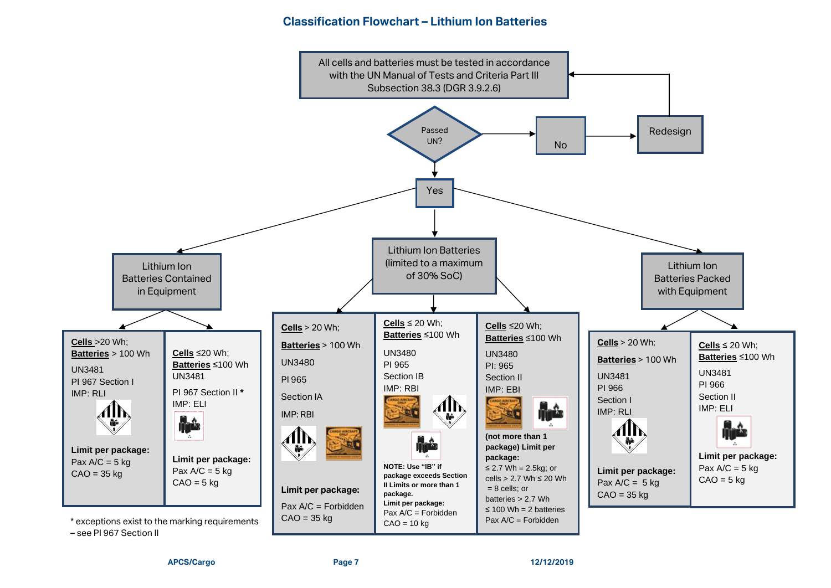## **Classification Flowchart – Lithium Ion Batteries**

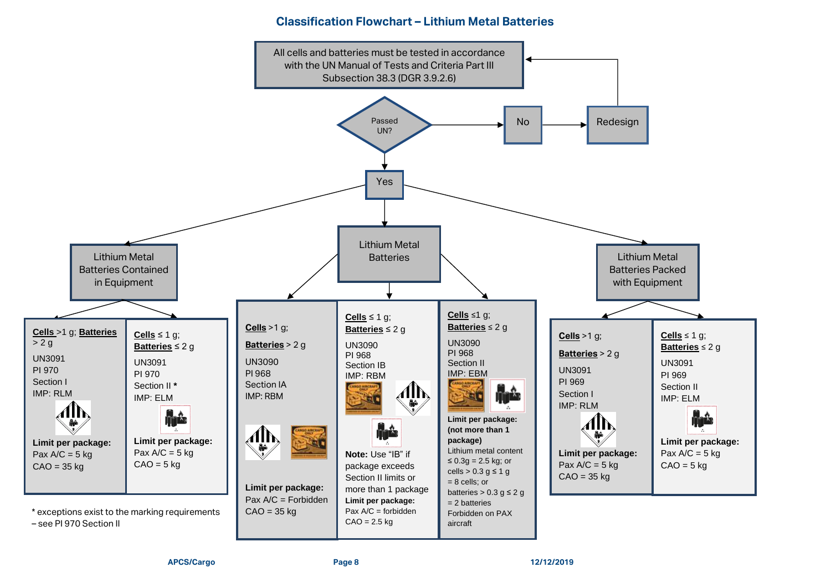## **Classification Flowchart – Lithium Metal Batteries**

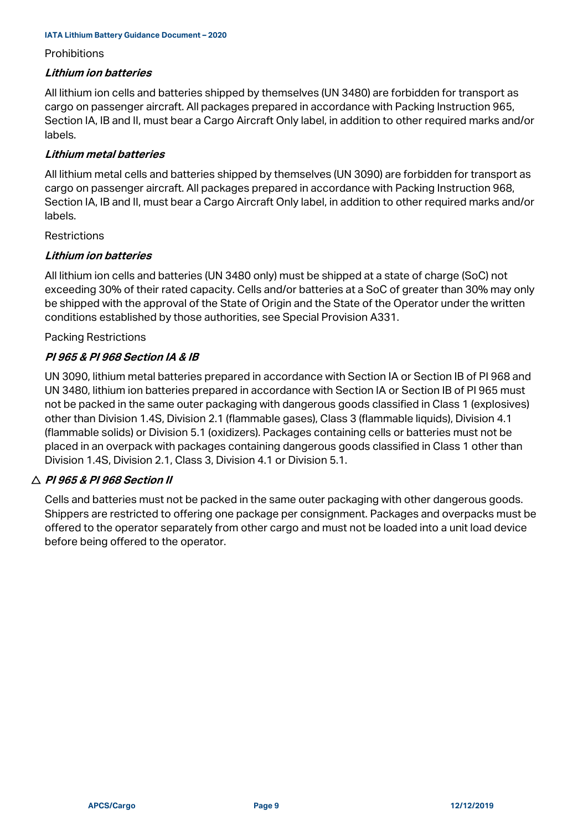#### **Prohibitions**

#### **Lithium ion batteries**

All lithium ion cells and batteries shipped by themselves (UN 3480) are forbidden for transport as cargo on passenger aircraft. All packages prepared in accordance with Packing Instruction 965, Section IA, IB and II, must bear a Cargo Aircraft Only label, in addition to other required marks and/or labels.

## **Lithium metal batteries**

All lithium metal cells and batteries shipped by themselves (UN 3090) are forbidden for transport as cargo on passenger aircraft. All packages prepared in accordance with Packing Instruction 968, Section IA, IB and II, must bear a Cargo Aircraft Only label, in addition to other required marks and/or labels.

#### **Restrictions**

## **Lithium ion batteries**

All lithium ion cells and batteries (UN 3480 only) must be shipped at a state of charge (SoC) not exceeding 30% of their rated capacity. Cells and/or batteries at a SoC of greater than 30% may only be shipped with the approval of the State of Origin and the State of the Operator under the written conditions established by those authorities, see Special Provision A331.

#### Packing Restrictions

## **PI 965 & PI 968 Section IA & IB**

UN 3090, lithium metal batteries prepared in accordance with Section IA or Section IB of PI 968 and UN 3480, lithium ion batteries prepared in accordance with Section IA or Section IB of PI 965 must not be packed in the same outer packaging with dangerous goods classified in Class 1 (explosives) other than Division 1.4S, Division 2.1 (flammable gases), Class 3 (flammable liquids), Division 4.1 (flammable solids) or Division 5.1 (oxidizers). Packages containing cells or batteries must not be placed in an overpack with packages containing dangerous goods classified in Class 1 other than Division 1.4S, Division 2.1, Class 3, Division 4.1 or Division 5.1.

#### **PI 965 & PI 968 Section II**

Cells and batteries must not be packed in the same outer packaging with other dangerous goods. Shippers are restricted to offering one package per consignment. Packages and overpacks must be offered to the operator separately from other cargo and must not be loaded into a unit load device before being offered to the operator.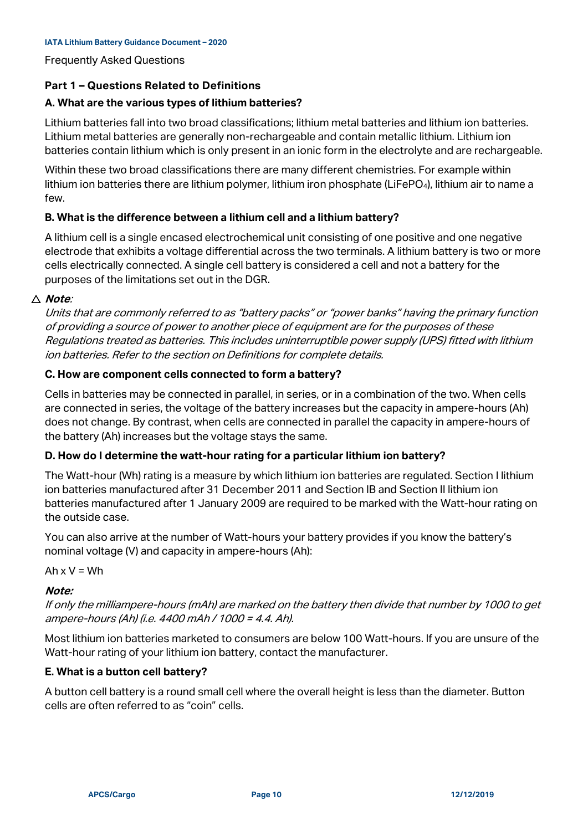Frequently Asked Questions

## **Part 1 – Questions Related to Definitions**

## **A. What are the various types of lithium batteries?**

Lithium batteries fall into two broad classifications; lithium metal batteries and lithium ion batteries. Lithium metal batteries are generally non-rechargeable and contain metallic lithium. Lithium ion batteries contain lithium which is only present in an ionic form in the electrolyte and are rechargeable.

Within these two broad classifications there are many different chemistries. For example within lithium ion batteries there are lithium polymer, lithium iron phosphate (LiFePO<sub>4</sub>), lithium air to name a few.

## **B. What is the difference between a lithium cell and a lithium battery?**

A lithium cell is a single encased electrochemical unit consisting of one positive and one negative electrode that exhibits a voltage differential across the two terminals. A lithium battery is two or more cells electrically connected. A single cell battery is considered a cell and not a battery for the purposes of the limitations set out in the DGR.

#### **Note**:

Units that are commonly referred to as "battery packs" or "power banks" having the primary function of providing a source of power to another piece of equipment are for the purposes of these Regulations treated as batteries. This includes uninterruptible power supply (UPS) fitted with lithium ion batteries. Refer to the section on Definitions for complete details.

#### **C. How are component cells connected to form a battery?**

Cells in batteries may be connected in parallel, in series, or in a combination of the two. When cells are connected in series, the voltage of the battery increases but the capacity in ampere-hours (Ah) does not change. By contrast, when cells are connected in parallel the capacity in ampere-hours of the battery (Ah) increases but the voltage stays the same.

#### **D. How do I determine the watt-hour rating for a particular lithium ion battery?**

The Watt-hour (Wh) rating is a measure by which lithium ion batteries are regulated. Section I lithium ion batteries manufactured after 31 December 2011 and Section IB and Section II lithium ion batteries manufactured after 1 January 2009 are required to be marked with the Watt-hour rating on the outside case.

You can also arrive at the number of Watt-hours your battery provides if you know the battery's nominal voltage (V) and capacity in ampere-hours (Ah):

Ah  $x V = Wh$ 

#### **Note:**

If only the milliampere-hours (mAh) are marked on the battery then divide that number by 1000 to get ampere-hours (Ah) (i.e. 4400 mAh / 1000 = 4.4. Ah).

Most lithium ion batteries marketed to consumers are below 100 Watt-hours. If you are unsure of the Watt-hour rating of your lithium ion battery, contact the manufacturer.

#### **E. What is a button cell battery?**

A button cell battery is a round small cell where the overall height is less than the diameter. Button cells are often referred to as "coin" cells.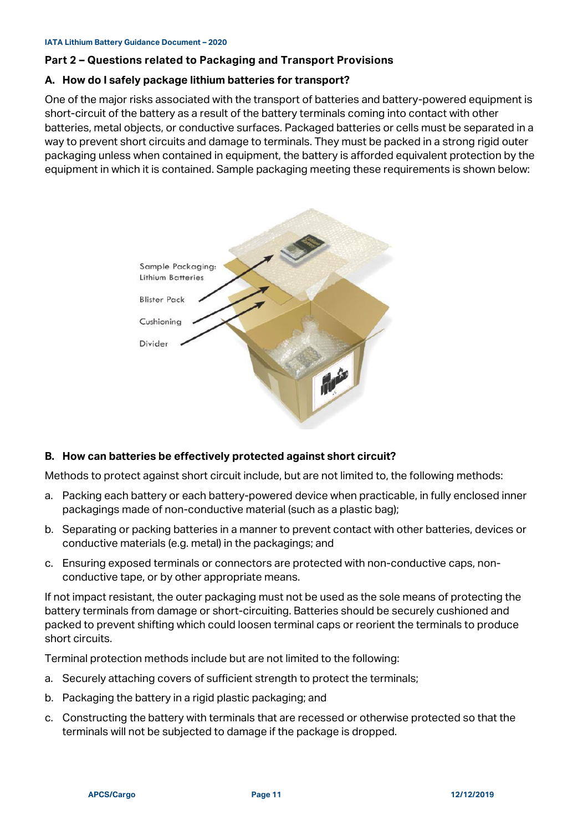## **Part 2 – Questions related to Packaging and Transport Provisions**

#### **A. How do I safely package lithium batteries for transport?**

One of the major risks associated with the transport of batteries and battery-powered equipment is short-circuit of the battery as a result of the battery terminals coming into contact with other batteries, metal objects, or conductive surfaces. Packaged batteries or cells must be separated in a way to prevent short circuits and damage to terminals. They must be packed in a strong rigid outer packaging unless when contained in equipment, the battery is afforded equivalent protection by the equipment in which it is contained. Sample packaging meeting these requirements is shown below:



## **B. How can batteries be effectively protected against short circuit?**

Methods to protect against short circuit include, but are not limited to, the following methods:

- a. Packing each battery or each battery-powered device when practicable, in fully enclosed inner packagings made of non-conductive material (such as a plastic bag);
- b. Separating or packing batteries in a manner to prevent contact with other batteries, devices or conductive materials (e.g. metal) in the packagings; and
- c. Ensuring exposed terminals or connectors are protected with non-conductive caps, nonconductive tape, or by other appropriate means.

If not impact resistant, the outer packaging must not be used as the sole means of protecting the battery terminals from damage or short-circuiting. Batteries should be securely cushioned and packed to prevent shifting which could loosen terminal caps or reorient the terminals to produce short circuits.

Terminal protection methods include but are not limited to the following:

- a. Securely attaching covers of sufficient strength to protect the terminals;
- b. Packaging the battery in a rigid plastic packaging; and
- c. Constructing the battery with terminals that are recessed or otherwise protected so that the terminals will not be subjected to damage if the package is dropped.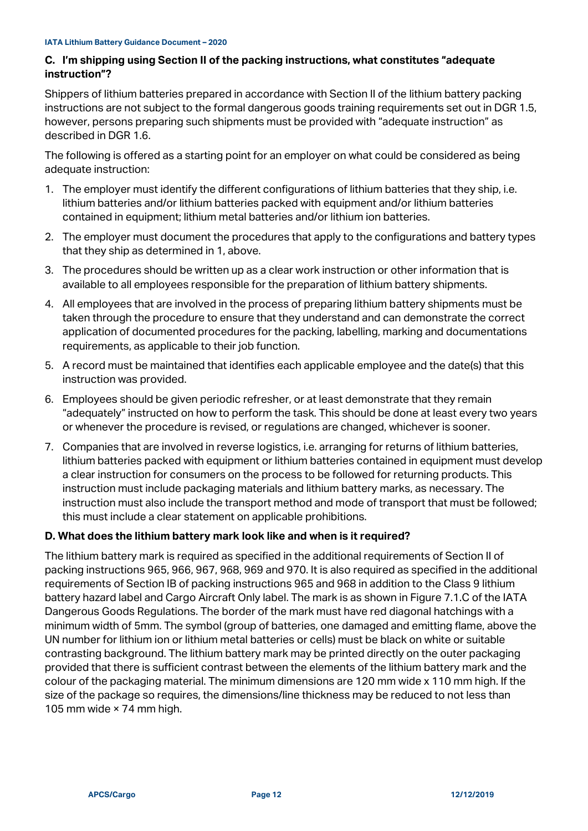## <span id="page-11-0"></span>**C. I'm shipping using Section II of the packing instructions, what constitutes "adequate instruction"?**

Shippers of lithium batteries prepared in accordance with Section II of the lithium battery packing instructions are not subject to the formal dangerous goods training requirements set out in DGR 1.5, however, persons preparing such shipments must be provided with "adequate instruction" as described in DGR 1.6.

The following is offered as a starting point for an employer on what could be considered as being adequate instruction:

- 1. The employer must identify the different configurations of lithium batteries that they ship, i.e. lithium batteries and/or lithium batteries packed with equipment and/or lithium batteries contained in equipment; lithium metal batteries and/or lithium ion batteries.
- 2. The employer must document the procedures that apply to the configurations and battery types that they ship as determined in 1, above.
- 3. The procedures should be written up as a clear work instruction or other information that is available to all employees responsible for the preparation of lithium battery shipments.
- 4. All employees that are involved in the process of preparing lithium battery shipments must be taken through the procedure to ensure that they understand and can demonstrate the correct application of documented procedures for the packing, labelling, marking and documentations requirements, as applicable to their job function.
- 5. A record must be maintained that identifies each applicable employee and the date(s) that this instruction was provided.
- 6. Employees should be given periodic refresher, or at least demonstrate that they remain "adequately" instructed on how to perform the task. This should be done at least every two years or whenever the procedure is revised, or regulations are changed, whichever is sooner.
- 7. Companies that are involved in reverse logistics, i.e. arranging for returns of lithium batteries, lithium batteries packed with equipment or lithium batteries contained in equipment must develop a clear instruction for consumers on the process to be followed for returning products. This instruction must include packaging materials and lithium battery marks, as necessary. The instruction must also include the transport method and mode of transport that must be followed; this must include a clear statement on applicable prohibitions.

## **D. What does the lithium battery mark look like and when is it required?**

The lithium battery mark is required as specified in the additional requirements of Section II of packing instructions 965, 966, 967, 968, 969 and 970. It is also required as specified in the additional requirements of Section IB of packing instructions 965 and 968 in addition to the Class 9 lithium battery hazard label and Cargo Aircraft Only label. The mark is as shown in Figure 7.1.C of the IATA Dangerous Goods Regulations. The border of the mark must have red diagonal hatchings with a minimum width of 5mm. The symbol (group of batteries, one damaged and emitting flame, above the UN number for lithium ion or lithium metal batteries or cells) must be black on white or suitable contrasting background. The lithium battery mark may be printed directly on the outer packaging provided that there is sufficient contrast between the elements of the lithium battery mark and the colour of the packaging material. The minimum dimensions are 120 mm wide x 110 mm high. If the size of the package so requires, the dimensions/line thickness may be reduced to not less than 105 mm wide × 74 mm high.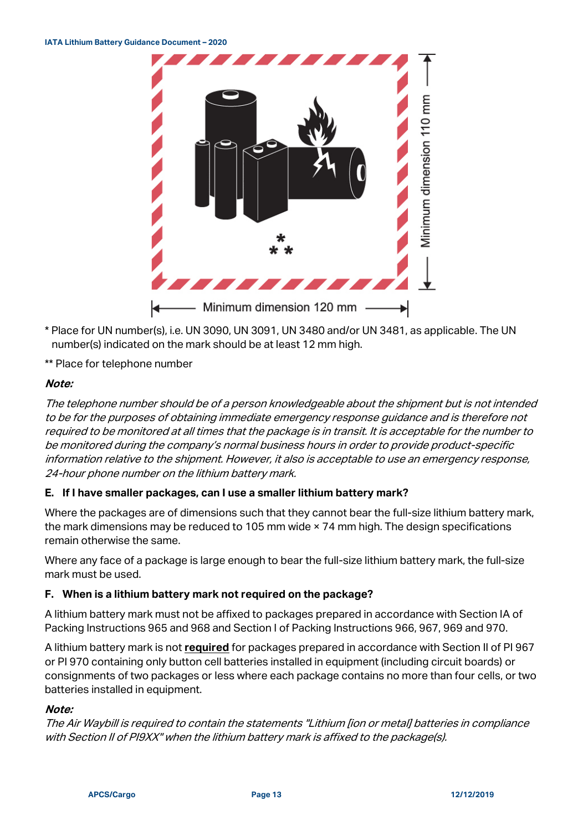

- \* Place for UN number(s), i.e. UN 3090, UN 3091, UN 3480 and/or UN 3481, as applicable. The UN number(s) indicated on the mark should be at least 12 mm high.
- \*\* Place for telephone number

#### **Note:**

The telephone number should be of a person knowledgeable about the shipment but is not intended to be for the purposes of obtaining immediate emergency response guidance and is therefore not required to be monitored at all times that the package is in transit. It is acceptable for the number to be monitored during the company's normal business hours in order to provide product-specific information relative to the shipment. However, it also is acceptable to use an emergency response, 24-hour phone number on the lithium battery mark.

## **E. If I have smaller packages, can I use a smaller lithium battery mark?**

Where the packages are of dimensions such that they cannot bear the full-size lithium battery mark, the mark dimensions may be reduced to 105 mm wide × 74 mm high. The design specifications remain otherwise the same.

Where any face of a package is large enough to bear the full-size lithium battery mark, the full-size mark must be used.

#### **F. When is a lithium battery mark not required on the package?**

A lithium battery mark must not be affixed to packages prepared in accordance with Section IA of Packing Instructions 965 and 968 and Section I of Packing Instructions 966, 967, 969 and 970.

A lithium battery mark is not **required** for packages prepared in accordance with Section II of PI 967 or PI 970 containing only button cell batteries installed in equipment (including circuit boards) or consignments of two packages or less where each package contains no more than four cells, or two batteries installed in equipment.

#### **Note:**

The Air Waybill is required to contain the statements "Lithium [ion or metal] batteries in compliance with Section II of PI9XX" when the lithium battery mark is affixed to the package(s).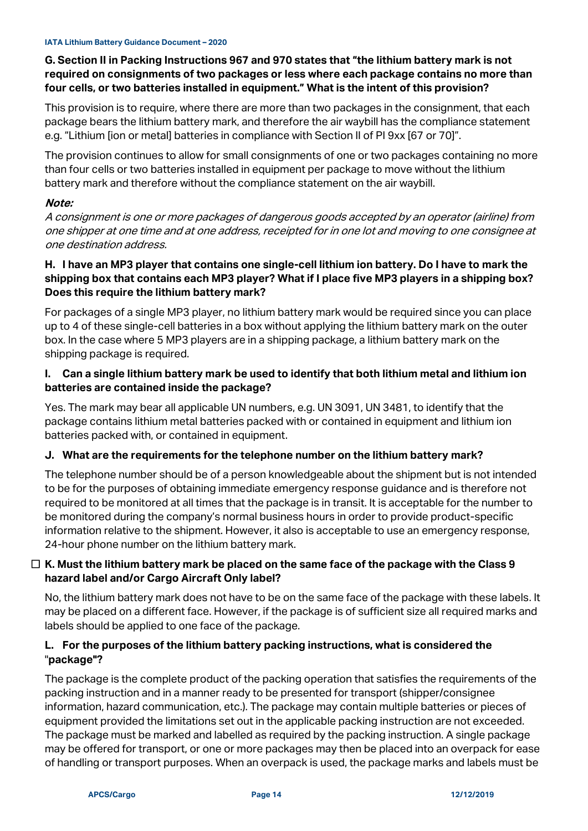## **G. Section II in Packing Instructions 967 and 970 states that "the lithium battery mark is not required on consignments of two packages or less where each package contains no more than four cells, or two batteries installed in equipment." What is the intent of this provision?**

This provision is to require, where there are more than two packages in the consignment, that each package bears the lithium battery mark, and therefore the air waybill has the compliance statement e.g. "Lithium [ion or metal] batteries in compliance with Section II of PI 9xx [67 or 70]".

The provision continues to allow for small consignments of one or two packages containing no more than four cells or two batteries installed in equipment per package to move without the lithium battery mark and therefore without the compliance statement on the air waybill.

## **Note:**

A consignment is one or more packages of dangerous goods accepted by an operator (airline) from one shipper at one time and at one address, receipted for in one lot and moving to one consignee at one destination address.

## **H. I have an MP3 player that contains one single-cell lithium ion battery. Do I have to mark the shipping box that contains each MP3 player? What if I place five MP3 players in a shipping box? Does this require the lithium battery mark?**

For packages of a single MP3 player, no lithium battery mark would be required since you can place up to 4 of these single-cell batteries in a box without applying the lithium battery mark on the outer box. In the case where 5 MP3 players are in a shipping package, a lithium battery mark on the shipping package is required.

## **I. Can a single lithium battery mark be used to identify that both lithium metal and lithium ion batteries are contained inside the package?**

Yes. The mark may bear all applicable UN numbers, e.g. UN 3091, UN 3481, to identify that the package contains lithium metal batteries packed with or contained in equipment and lithium ion batteries packed with, or contained in equipment.

# **J. What are the requirements for the telephone number on the lithium battery mark?**

The telephone number should be of a person knowledgeable about the shipment but is not intended to be for the purposes of obtaining immediate emergency response guidance and is therefore not required to be monitored at all times that the package is in transit. It is acceptable for the number to be monitored during the company's normal business hours in order to provide product-specific information relative to the shipment. However, it also is acceptable to use an emergency response, 24-hour phone number on the lithium battery mark.

## **K. Must the lithium battery mark be placed on the same face of the package with the Class 9 hazard label and/or Cargo Aircraft Only label?**

No, the lithium battery mark does not have to be on the same face of the package with these labels. It may be placed on a different face. However, if the package is of sufficient size all required marks and labels should be applied to one face of the package.

## **L. For the purposes of the lithium battery packing instructions, what is considered the** "**package"?**

The package is the complete product of the packing operation that satisfies the requirements of the packing instruction and in a manner ready to be presented for transport (shipper/consignee information, hazard communication, etc.). The package may contain multiple batteries or pieces of equipment provided the limitations set out in the applicable packing instruction are not exceeded. The package must be marked and labelled as required by the packing instruction. A single package may be offered for transport, or one or more packages may then be placed into an overpack for ease of handling or transport purposes. When an overpack is used, the package marks and labels must be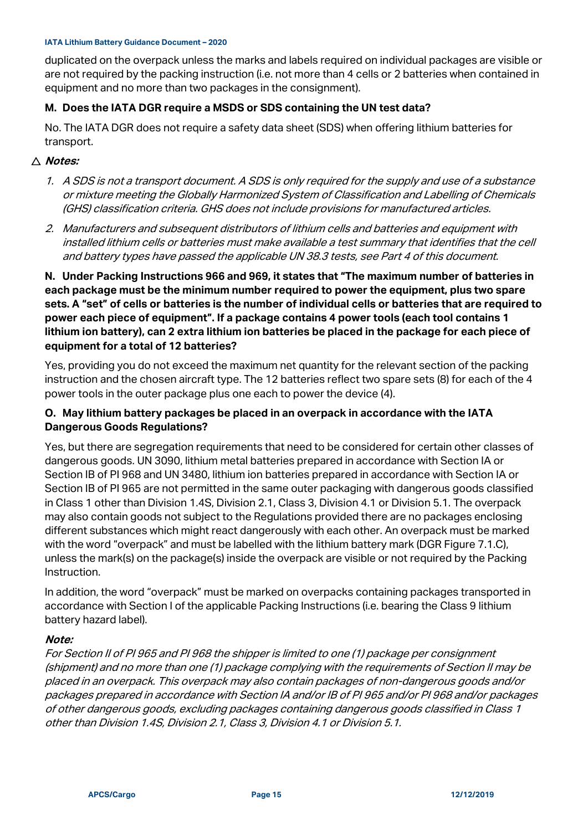duplicated on the overpack unless the marks and labels required on individual packages are visible or are not required by the packing instruction (i.e. not more than 4 cells or 2 batteries when contained in equipment and no more than two packages in the consignment).

#### **M. Does the IATA DGR require a MSDS or SDS containing the UN test data?**

No. The IATA DGR does not require a safety data sheet (SDS) when offering lithium batteries for transport.

#### **Notes:**

- 1. A SDS is not a transport document. A SDS is only required for the supply and use of a substance or mixture meeting the Globally Harmonized System of Classification and Labelling of Chemicals (GHS) classification criteria. GHS does not include provisions for manufactured articles.
- 2. Manufacturers and subsequent distributors of lithium cells and batteries and equipment with installed lithium cells or batteries must make available a test summary that identifies that the cell and battery types have passed the applicable UN 38.3 tests, see Part 4 of this document.

**N. Under Packing Instructions 966 and 969, it states that "The maximum number of batteries in each package must be the minimum number required to power the equipment, plus two spare sets. A "set" of cells or batteries is the number of individual cells or batteries that are required to power each piece of equipment". If a package contains 4 power tools (each tool contains 1 lithium ion battery), can 2 extra lithium ion batteries be placed in the package for each piece of equipment for a total of 12 batteries?**

Yes, providing you do not exceed the maximum net quantity for the relevant section of the packing instruction and the chosen aircraft type. The 12 batteries reflect two spare sets (8) for each of the 4 power tools in the outer package plus one each to power the device (4).

## **O. May lithium battery packages be placed in an overpack in accordance with the IATA Dangerous Goods Regulations?**

Yes, but there are segregation requirements that need to be considered for certain other classes of dangerous goods. UN 3090, lithium metal batteries prepared in accordance with Section IA or Section IB of PI 968 and UN 3480, lithium ion batteries prepared in accordance with Section IA or Section IB of PI 965 are not permitted in the same outer packaging with dangerous goods classified in Class 1 other than Division 1.4S, Division 2.1, Class 3, Division 4.1 or Division 5.1. The overpack may also contain goods not subject to the Regulations provided there are no packages enclosing different substances which might react dangerously with each other. An overpack must be marked with the word "overpack" and must be labelled with the lithium battery mark (DGR Figure 7.1.C), unless the mark(s) on the package(s) inside the overpack are visible or not required by the Packing Instruction.

In addition, the word "overpack" must be marked on overpacks containing packages transported in accordance with Section I of the applicable Packing Instructions (i.e. bearing the Class 9 lithium battery hazard label).

#### **Note:**

For Section II of PI 965 and PI 968 the shipper is limited to one (1) package per consignment (shipment) and no more than one (1) package complying with the requirements of Section II may be placed in an overpack. This overpack may also contain packages of non-dangerous goods and/or packages prepared in accordance with Section IA and/or IB of PI 965 and/or PI 968 and/or packages of other dangerous goods, excluding packages containing dangerous goods classified in Class 1 other than Division 1.4S, Division 2.1, Class 3, Division 4.1 or Division 5.1.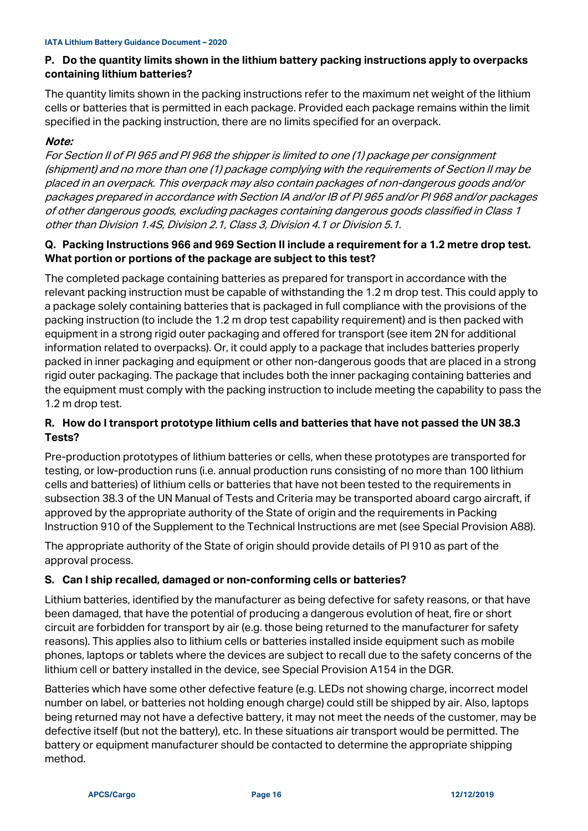## **P. Do the quantity limits shown in the lithium battery packing instructions apply to overpacks containing lithium batteries?**

The quantity limits shown in the packing instructions refer to the maximum net weight of the lithium cells or batteries that is permitted in each package. Provided each package remains within the limit specified in the packing instruction, there are no limits specified for an overpack.

## **Note:**

For Section II of PI 965 and PI 968 the shipper is limited to one (1) package per consignment (shipment) and no more than one (1) package complying with the requirements of Section II may be placed in an overpack. This overpack may also contain packages of non-dangerous goods and/or packages prepared in accordance with Section IA and/or IB of PI 965 and/or PI 968 and/or packages of other dangerous goods, excluding packages containing dangerous goods classified in Class 1 other than Division 1.4S, Division 2.1, Class 3, Division 4.1 or Division 5.1.

## **Q. Packing Instructions 966 and 969 Section II include a requirement for a 1.2 metre drop test. What portion or portions of the package are subject to this test?**

The completed package containing batteries as prepared for transport in accordance with the relevant packing instruction must be capable of withstanding the 1.2 m drop test. This could apply to a package solely containing batteries that is packaged in full compliance with the provisions of the packing instruction (to include the 1.2 m drop test capability requirement) and is then packed with equipment in a strong rigid outer packaging and offered for transport (see item 2N for additional information related to overpacks). Or, it could apply to a package that includes batteries properly packed in inner packaging and equipment or other non-dangerous goods that are placed in a strong rigid outer packaging. The package that includes both the inner packaging containing batteries and the equipment must comply with the packing instruction to include meeting the capability to pass the 1.2 m drop test.

## **R. How do I transport prototype lithium cells and batteries that have not passed the UN 38.3 Tests?**

Pre-production prototypes of lithium batteries or cells, when these prototypes are transported for testing, or low-production runs (i.e. annual production runs consisting of no more than 100 lithium cells and batteries) of lithium cells or batteries that have not been tested to the requirements in subsection 38.3 of the UN Manual of Tests and Criteria may be transported aboard cargo aircraft, if approved by the appropriate authority of the State of origin and the requirements in Packing Instruction 910 of the Supplement to the Technical Instructions are met (see Special Provision A88).

The appropriate authority of the State of origin should provide details of PI 910 as part of the approval process.

## **S. Can I ship recalled, damaged or non-conforming cells or batteries?**

Lithium batteries, identified by the manufacturer as being defective for safety reasons, or that have been damaged, that have the potential of producing a dangerous evolution of heat, fire or short circuit are forbidden for transport by air (e.g. those being returned to the manufacturer for safety reasons). This applies also to lithium cells or batteries installed inside equipment such as mobile phones, laptops or tablets where the devices are subject to recall due to the safety concerns of the lithium cell or battery installed in the device, see Special Provision A154 in the DGR.

Batteries which have some other defective feature (e.g. LEDs not showing charge, incorrect model number on label, or batteries not holding enough charge) could still be shipped by air. Also, laptops being returned may not have a defective battery, it may not meet the needs of the customer, may be defective itself (but not the battery), etc. In these situations air transport would be permitted. The battery or equipment manufacturer should be contacted to determine the appropriate shipping method.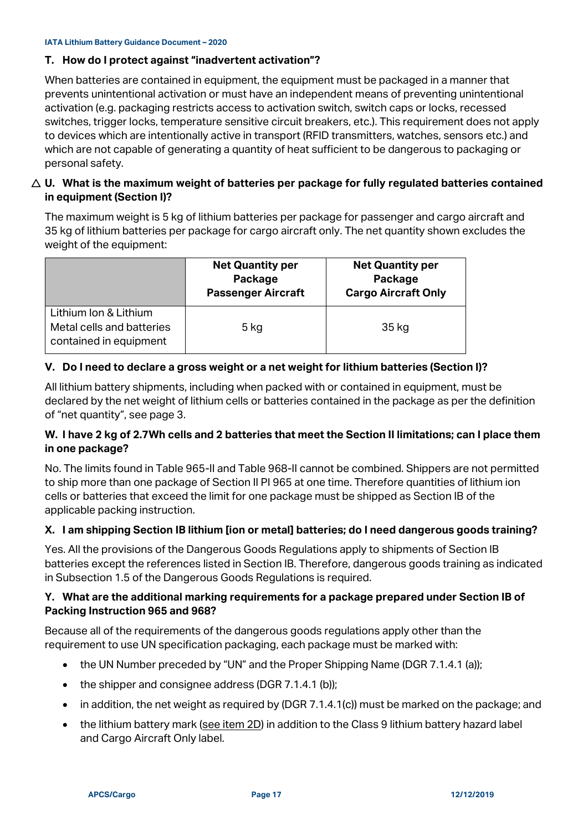## **T. How do I protect against "inadvertent activation"?**

When batteries are contained in equipment, the equipment must be packaged in a manner that prevents unintentional activation or must have an independent means of preventing unintentional activation (e.g. packaging restricts access to activation switch, switch caps or locks, recessed switches, trigger locks, temperature sensitive circuit breakers, etc.). This requirement does not apply to devices which are intentionally active in transport (RFID transmitters, watches, sensors etc.) and which are not capable of generating a quantity of heat sufficient to be dangerous to packaging or personal safety.

## **U. What is the maximum weight of batteries per package for fully regulated batteries contained in equipment (Section I)?**

The maximum weight is 5 kg of lithium batteries per package for passenger and cargo aircraft and 35 kg of lithium batteries per package for cargo aircraft only. The net quantity shown excludes the weight of the equipment:

|                                                                              | <b>Net Quantity per</b><br>Package<br><b>Passenger Aircraft</b> | <b>Net Quantity per</b><br>Package<br><b>Cargo Aircraft Only</b> |
|------------------------------------------------------------------------------|-----------------------------------------------------------------|------------------------------------------------------------------|
| Lithium Ion & Lithium<br>Metal cells and batteries<br>contained in equipment | 5 kg                                                            | 35 kg                                                            |

## **V. Do I need to declare a gross weight or a net weight for lithium batteries (Section I)?**

All lithium battery shipments, including when packed with or contained in equipment, must be declared by the net weight of lithium cells or batteries contained in the package as per the definition of "net quantity", see page 3.

## **W. I have 2 kg of 2.7Wh cells and 2 batteries that meet the Section II limitations; can I place them in one package?**

No. The limits found in Table 965-II and Table 968-II cannot be combined. Shippers are not permitted to ship more than one package of Section II PI 965 at one time. Therefore quantities of lithium ion cells or batteries that exceed the limit for one package must be shipped as Section IB of the applicable packing instruction.

## **X. I am shipping Section IB lithium [ion or metal] batteries; do I need dangerous goods training?**

Yes. All the provisions of the Dangerous Goods Regulations apply to shipments of Section IB batteries except the references listed in Section IB. Therefore, dangerous goods training as indicated in Subsection 1.5 of the Dangerous Goods Regulations is required.

## **Y. What are the additional marking requirements for a package prepared under Section IB of Packing Instruction 965 and 968?**

Because all of the requirements of the dangerous goods regulations apply other than the requirement to use UN specification packaging, each package must be marked with:

- the UN Number preceded by "UN" and the Proper Shipping Name (DGR 7.1.4.1 (a));
- the shipper and consignee address (DGR 7.1.4.1 (b));
- in addition, the net weight as required by (DGR 7.1.4.1(c)) must be marked on the package; and
- the lithium battery mark [\(see item 2D\)](#page-11-0) in addition to the Class 9 lithium battery hazard label and Cargo Aircraft Only label.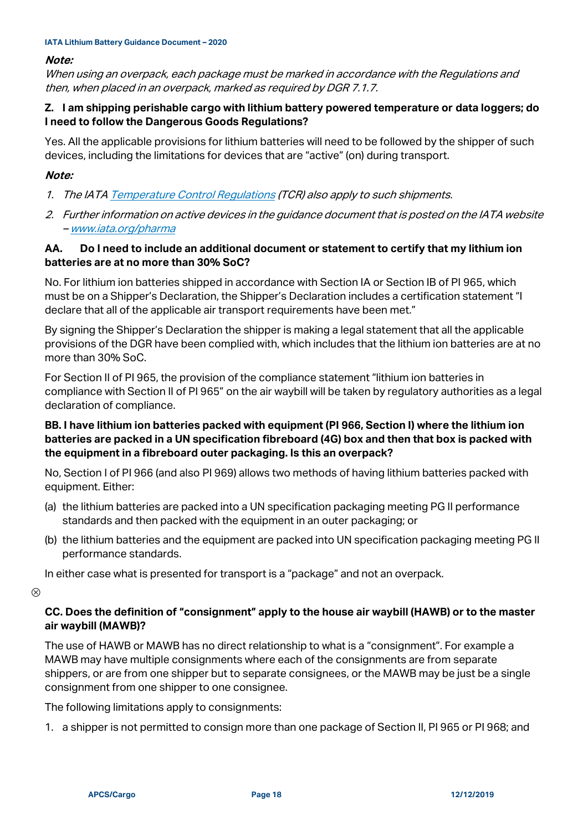#### **Note:**

When using an overpack, each package must be marked in accordance with the Regulations and then, when placed in an overpack, marked as required by DGR 7.1.7.

## **Z. I am shipping perishable cargo with lithium battery powered temperature or data loggers; do I need to follow the Dangerous Goods Regulations?**

Yes. All the applicable provisions for lithium batteries will need to be followed by the shipper of such devices, including the limitations for devices that are "active" (on) during transport.

## **Note:**

- 1. The IAT[A Temperature Control Regulations](http://www.iata.org/tcr) (TCR) also apply to such shipments.
- 2. Further information on active devices in the guidance document that is posted on the IATA website – <u>[www.iata.org/pharma](http://www.iata.org/pharma)</u>

## **AA. Do I need to include an additional document or statement to certify that my lithium ion batteries are at no more than 30% SoC?**

No. For lithium ion batteries shipped in accordance with Section IA or Section IB of PI 965, which must be on a Shipper's Declaration, the Shipper's Declaration includes a certification statement "I declare that all of the applicable air transport requirements have been met."

By signing the Shipper's Declaration the shipper is making a legal statement that all the applicable provisions of the DGR have been complied with, which includes that the lithium ion batteries are at no more than 30% SoC.

For Section II of PI 965, the provision of the compliance statement "lithium ion batteries in compliance with Section II of PI 965" on the air waybill will be taken by regulatory authorities as a legal declaration of compliance.

## **BB. I have lithium ion batteries packed with equipment (PI 966, Section I) where the lithium ion batteries are packed in a UN specification fibreboard (4G) box and then that box is packed with the equipment in a fibreboard outer packaging. Is this an overpack?**

No, Section I of PI 966 (and also PI 969) allows two methods of having lithium batteries packed with equipment. Either:

- (a) the lithium batteries are packed into a UN specification packaging meeting PG II performance standards and then packed with the equipment in an outer packaging; or
- (b) the lithium batteries and the equipment are packed into UN specification packaging meeting PG II performance standards.

In either case what is presented for transport is a "package" and not an overpack.

 $\circledR$ 

## **CC. Does the definition of "consignment" apply to the house air waybill (HAWB) or to the master air waybill (MAWB)?**

The use of HAWB or MAWB has no direct relationship to what is a "consignment". For example a MAWB may have multiple consignments where each of the consignments are from separate shippers, or are from one shipper but to separate consignees, or the MAWB may be just be a single consignment from one shipper to one consignee.

The following limitations apply to consignments:

1. a shipper is not permitted to consign more than one package of Section II, PI 965 or PI 968; and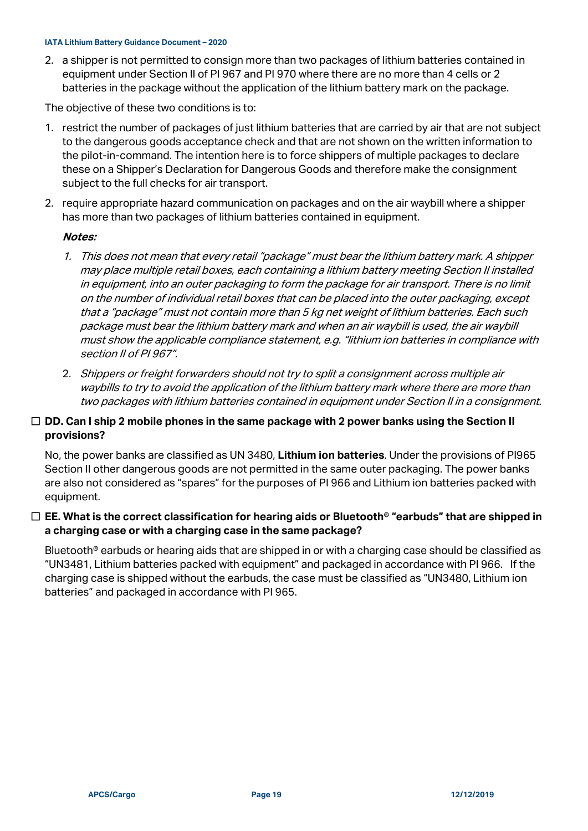2. a shipper is not permitted to consign more than two packages of lithium batteries contained in equipment under Section II of PI 967 and PI 970 where there are no more than 4 cells or 2 batteries in the package without the application of the lithium battery mark on the package.

The objective of these two conditions is to:

- 1. restrict the number of packages of just lithium batteries that are carried by air that are not subject to the dangerous goods acceptance check and that are not shown on the written information to the pilot-in-command. The intention here is to force shippers of multiple packages to declare these on a Shipper's Declaration for Dangerous Goods and therefore make the consignment subject to the full checks for air transport.
- 2. require appropriate hazard communication on packages and on the air waybill where a shipper has more than two packages of lithium batteries contained in equipment.

#### **Notes:**

- 1. This does not mean that every retail "package" must bear the lithium battery mark. A shipper may place multiple retail boxes, each containing a lithium battery meeting Section II installed in equipment, into an outer packaging to form the package for air transport. There is no limit on the number of individual retail boxes that can be placed into the outer packaging, except that a "package" must not contain more than 5 kg net weight of lithium batteries. Each such package must bear the lithium battery mark and when an air waybill is used, the air waybill must show the applicable compliance statement, e.g. "lithium ion batteries in compliance with section II of PI 967".
- 2. Shippers or freight forwarders should not try to split a consignment across multiple air waybills to try to avoid the application of the lithium battery mark where there are more than two packages with lithium batteries contained in equipment under Section II in a consignment.

#### **DD. Can I ship 2 mobile phones in the same package with 2 power banks using the Section II provisions?**

No, the power banks are classified as UN 3480, **Lithium ion batteries**. Under the provisions of PI965 Section II other dangerous goods are not permitted in the same outer packaging. The power banks are also not considered as "spares" for the purposes of PI 966 and Lithium ion batteries packed with equipment.

## **EE. What is the correct classification for hearing aids or Bluetooth® "earbuds" that are shipped in a charging case or with a charging case in the same package?**

Bluetooth<sup>®</sup> earbuds or hearing aids that are shipped in or with a charging case should be classified as "UN3481, Lithium batteries packed with equipment" and packaged in accordance with PI 966. If the charging case is shipped without the earbuds, the case must be classified as "UN3480, Lithium ion batteries" and packaged in accordance with PI 965.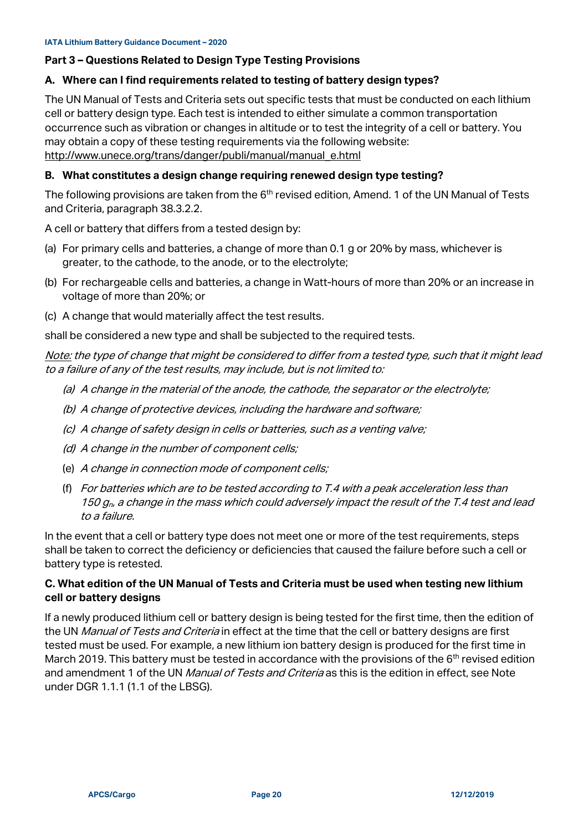#### **Part 3 – Questions Related to Design Type Testing Provisions**

#### **A. Where can I find requirements related to testing of battery design types?**

The UN Manual of Tests and Criteria sets out specific tests that must be conducted on each lithium cell or battery design type. Each test is intended to either simulate a common transportation occurrence such as vibration or changes in altitude or to test the integrity of a cell or battery. You may obtain a copy of these testing requirements via the following website: [http://www.unece.org/trans/danger/publi/manual/manual\\_e.html](http://www.unece.org/trans/danger/publi/manual/manual_e.html)

#### **B. What constitutes a design change requiring renewed design type testing?**

The following provisions are taken from the  $6<sup>th</sup>$  revised edition, Amend. 1 of the UN Manual of Tests and Criteria, paragraph 38.3.2.2.

A cell or battery that differs from a tested design by:

- (a) For primary cells and batteries, a change of more than 0.1 g or 20% by mass, whichever is greater, to the cathode, to the anode, or to the electrolyte;
- (b) For rechargeable cells and batteries, a change in Watt-hours of more than 20% or an increase in voltage of more than 20%; or
- (c) A change that would materially affect the test results.

shall be considered a new type and shall be subjected to the required tests.

Note: the type of change that might be considered to differ from a tested type, such that it might lead to a failure of any of the test results, may include, but is not limited to:

- (a) A change in the material of the anode, the cathode, the separator or the electrolyte;
- (b) A change of protective devices, including the hardware and software;
- (c) A change of safety design in cells or batteries, such as a venting valve;
- (d) A change in the number of component cells;
- (e) A change in connection mode of component cells;
- (f) For batteries which are to be tested according to T.4 with a peak acceleration less than 150  $q_p$ , a change in the mass which could adversely impact the result of the T.4 test and lead to a failure.

In the event that a cell or battery type does not meet one or more of the test requirements, steps shall be taken to correct the deficiency or deficiencies that caused the failure before such a cell or battery type is retested.

## **C. What edition of the UN Manual of Tests and Criteria must be used when testing new lithium cell or battery designs**

If a newly produced lithium cell or battery design is being tested for the first time, then the edition of the UN Manual of Tests and Criteria in effect at the time that the cell or battery designs are first tested must be used. For example, a new lithium ion battery design is produced for the first time in March 2019. This battery must be tested in accordance with the provisions of the  $6<sup>th</sup>$  revised edition and amendment 1 of the UN *Manual of Tests and Criteria* as this is the edition in effect, see Note under DGR 1.1.1 (1.1 of the LBSG).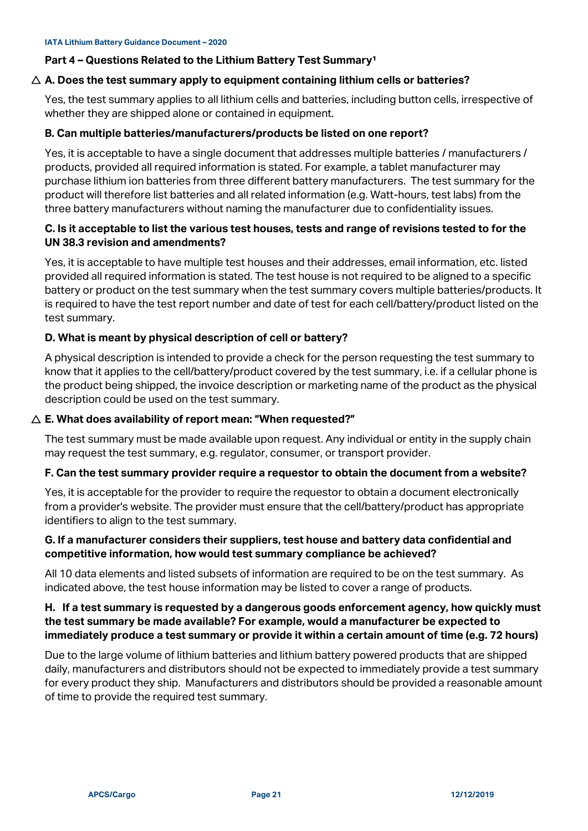#### <span id="page-20-0"></span>**Part 4 - Questions Related to the Lithium Battery Test Summary<sup>1</sup>**

#### **A. Does the test summary apply to equipment containing lithium cells or batteries?**

Yes, the test summary applies to all lithium cells and batteries, including button cells, irrespective of whether they are shipped alone or contained in equipment.

#### **B. Can multiple batteries/manufacturers/products be listed on one report?**

Yes, it is acceptable to have a single document that addresses multiple batteries / manufacturers / products, provided all required information is stated. For example, a tablet manufacturer may purchase lithium ion batteries from three different battery manufacturers. The test summary for the product will therefore list batteries and all related information (e.g. Watt-hours, test labs) from the three battery manufacturers without naming the manufacturer due to confidentiality issues.

### **C. Is it acceptable to list the various test houses, tests and range of revisions tested to for the UN 38.3 revision and amendments?**

Yes, it is acceptable to have multiple test houses and their addresses, email information, etc. listed provided all required information is stated. The test house is not required to be aligned to a specific battery or product on the test summary when the test summary covers multiple batteries/products. It is required to have the test report number and date of test for each cell/battery/product listed on the test summary.

#### **D. What is meant by physical description of cell or battery?**

A physical description is intended to provide a check for the person requesting the test summary to know that it applies to the cell/battery/product covered by the test summary, i.e. if a cellular phone is the product being shipped, the invoice description or marketing name of the product as the physical description could be used on the test summary.

#### **E. What does availability of report mean: "When requested?"**

The test summary must be made available upon request. Any individual or entity in the supply chain may request the test summary, e.g. regulator, consumer, or transport provider.

#### **F. Can the test summary provider require a requestor to obtain the document from a website?**

Yes, it is acceptable for the provider to require the requestor to obtain a document electronically from a provider's website. The provider must ensure that the cell/battery/product has appropriate identifiers to align to the test summary.

#### **G. If a manufacturer considers their suppliers, test house and battery data confidential and competitive information, how would test summary compliance be achieved?**

All 10 data elements and listed subsets of information are required to be on the test summary. As indicated above, the test house information may be listed to cover a range of products.

## **H. If a test summary is requested by a dangerous goods enforcement agency, how quickly must the test summary be made available? For example, would a manufacturer be expected to immediately produce a test summary or provide it within a certain amount of time (e.g. 72 hours)**

Due to the large volume of lithium batteries and lithium battery powered products that are shipped daily, manufacturers and distributors should not be expected to immediately provide a test summary for every product they ship. Manufacturers and distributors should be provided a reasonable amount of time to provide the required test summary.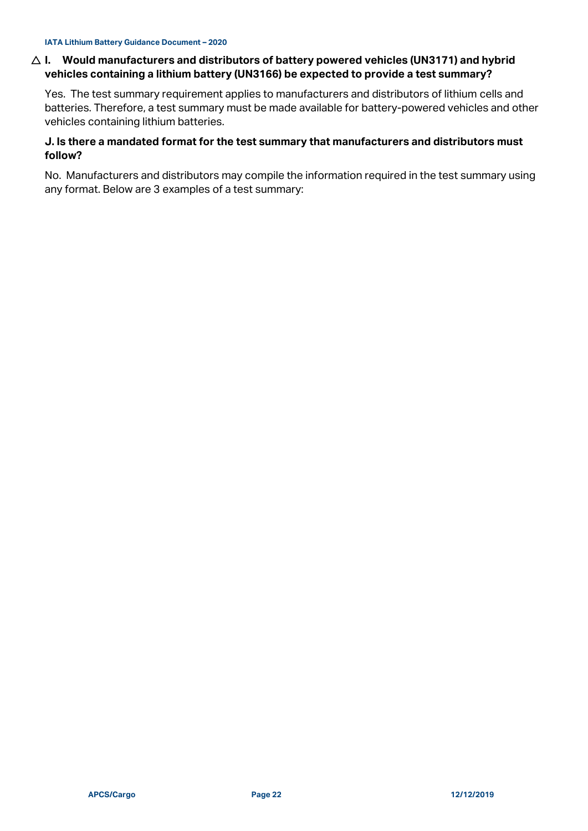## **I. Would manufacturers and distributors of battery powered vehicles (UN3171) and hybrid vehicles containing a lithium battery (UN3166) be expected to provide a test summary?**

Yes. The test summary requirement applies to manufacturers and distributors of lithium cells and batteries. Therefore, a test summary must be made available for battery-powered vehicles and other vehicles containing lithium batteries.

## **J. Is there a mandated format for the test summary that manufacturers and distributors must follow?**

No. Manufacturers and distributors may compile the information required in the test summary using any format. Below are 3 examples of a test summary: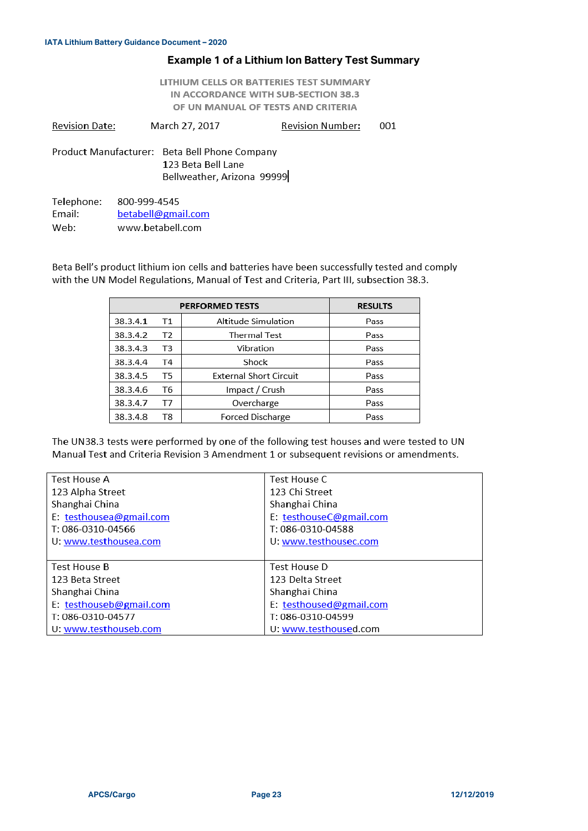#### **Example 1 of a Lithium Ion Battery Test Summary**

LITHIUM CELLS OR BATTERIES TEST SUMMARY IN ACCORDANCE WITH SUB-SECTION 38.3 OF UN MANUAL OF TESTS AND CRITERIA

**Revision Date:** March 27, 2017 **Revision Number:** 001

Product Manufacturer: Beta Bell Phone Company 123 Beta Bell Lane Bellweather, Arizona 99999

Telephone: 800-999-4545 Email: betabell@gmail.com Web: www.betabell.com

Beta Bell's product lithium ion cells and batteries have been successfully tested and comply with the UN Model Regulations, Manual of Test and Criteria, Part III, subsection 38.3.

| <b>PERFORMED TESTS</b> |    |                               | <b>RESULTS</b> |
|------------------------|----|-------------------------------|----------------|
| 38.3.4.1               | Τ1 | Altitude Simulation           | Pass           |
| 38.3.4.2               | T2 | <b>Thermal Test</b>           | Pass           |
| 38.3.4.3               | T3 | Vibration                     | Pass           |
| 38.3.4.4               | T4 | Shock                         | Pass           |
| 38.3.4.5               | T5 | <b>External Short Circuit</b> | Pass           |
| 38.3.4.6               | T6 | Impact / Crush                | Pass           |
| 38.3.4.7               | T7 | Overcharge                    | Pass           |
| 38.3.4.8               | T8 | <b>Forced Discharge</b>       | Pass           |

The UN38.3 tests were performed by one of the following test houses and were tested to UN Manual Test and Criteria Revision 3 Amendment 1 or subsequent revisions or amendments.

| Test House A            | Test House C            |
|-------------------------|-------------------------|
| 123 Alpha Street        | 123 Chi Street          |
| Shanghai China          | Shanghai China          |
| E: testhousea@gmail.com | E: testhouseC@gmail.com |
| T: 086-0310-04566       | T: 086-0310-04588       |
| U. www.testhousea.com   | U. www.testhousec.com   |
|                         |                         |
| <b>Test House B</b>     | Test House D            |
| 123 Beta Street         | 123 Delta Street        |
| Shanghai China          | Shanghai China          |
| E: testhouseb@gmail.com | E: testhoused@gmail.com |
| T: 086-0310-04577       | T: 086-0310-04599       |
| U: www.testhouseb.com   | U: www.testhoused.com   |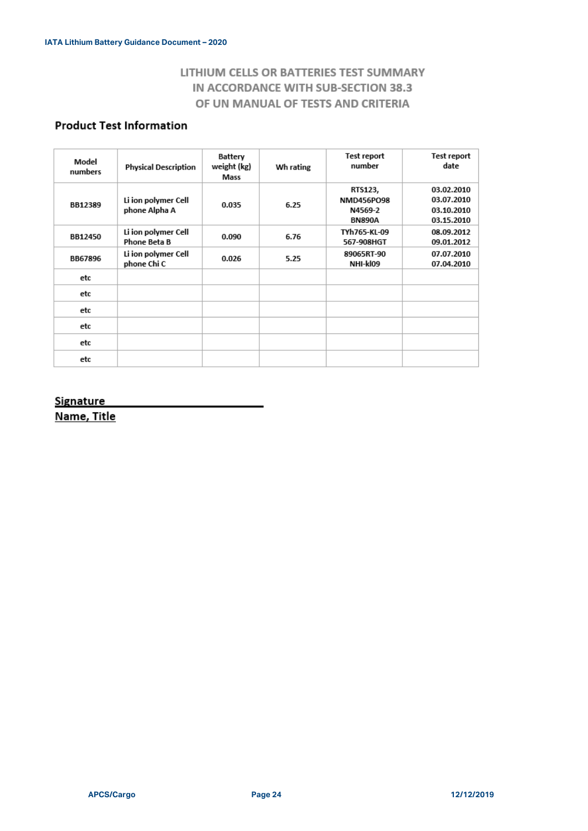# LITHIUM CELLS OR BATTERIES TEST SUMMARY IN ACCORDANCE WITH SUB-SECTION 38.3 OF UN MANUAL OF TESTS AND CRITERIA

# **Product Test Information**

| Model<br>numbers | <b>Physical Description</b>          | Battery<br>weight (kg)<br>Mass | Wh rating | Test report<br>number                             | Test report<br>date                                  |
|------------------|--------------------------------------|--------------------------------|-----------|---------------------------------------------------|------------------------------------------------------|
| BB12389          | Li ion polymer Cell<br>phone Alpha A | 0.035                          | 6.25      | RTS123,<br>NMD456PO98<br>N4569-2<br><b>BN890A</b> | 03.02.2010<br>03.07.2010<br>03.10.2010<br>03.15.2010 |
| BB12450          | Li ion polymer Cell<br>Phone Beta B  | 0.090                          | 6.76      | TYh765-KL-09<br>567-908HGT                        | 08.09.2012<br>09.01.2012                             |
| <b>BB67896</b>   | Li ion polymer Cell<br>phone Chi C   | 0.026                          | 5.25      | 89065RT-90<br>NHI-kl09                            | 07.07.2010<br>07.04.2010                             |
| etc              |                                      |                                |           |                                                   |                                                      |
| etc              |                                      |                                |           |                                                   |                                                      |
| etc              |                                      |                                |           |                                                   |                                                      |
| etc              |                                      |                                |           |                                                   |                                                      |
| etc              |                                      |                                |           |                                                   |                                                      |
| etc              |                                      |                                |           |                                                   |                                                      |

#### **Signature**

Name, Title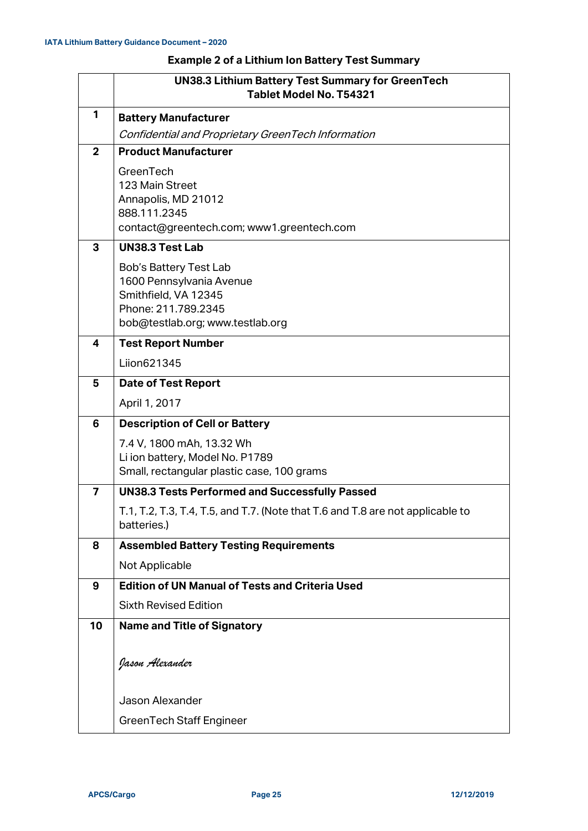## **Example 2 of a Lithium Ion Battery Test Summary**

|                | <b>UN38.3 Lithium Battery Test Summary for GreenTech</b><br>Tablet Model No. T54321                                                   |  |  |
|----------------|---------------------------------------------------------------------------------------------------------------------------------------|--|--|
| 1              | <b>Battery Manufacturer</b>                                                                                                           |  |  |
|                | Confidential and Proprietary GreenTech Information                                                                                    |  |  |
| $\overline{2}$ | <b>Product Manufacturer</b>                                                                                                           |  |  |
|                | GreenTech<br>123 Main Street<br>Annapolis, MD 21012<br>888.111.2345<br>contact@greentech.com; www1.greentech.com                      |  |  |
| 3              | <b>UN38.3 Test Lab</b>                                                                                                                |  |  |
|                | Bob's Battery Test Lab<br>1600 Pennsylvania Avenue<br>Smithfield, VA 12345<br>Phone: 211.789.2345<br>bob@testlab.org; www.testlab.org |  |  |
| 4              | <b>Test Report Number</b>                                                                                                             |  |  |
|                | Liion621345                                                                                                                           |  |  |
| 5              | <b>Date of Test Report</b>                                                                                                            |  |  |
|                | April 1, 2017                                                                                                                         |  |  |
| 6              | <b>Description of Cell or Battery</b>                                                                                                 |  |  |
|                | 7.4 V, 1800 mAh, 13.32 Wh<br>Li ion battery, Model No. P1789<br>Small, rectangular plastic case, 100 grams                            |  |  |
| $\overline{7}$ | <b>UN38.3 Tests Performed and Successfully Passed</b>                                                                                 |  |  |
|                | T.1, T.2, T.3, T.4, T.5, and T.7. (Note that T.6 and T.8 are not applicable to<br>batteries.)                                         |  |  |
| 8              | <b>Assembled Battery Testing Requirements</b>                                                                                         |  |  |
|                | Not Applicable                                                                                                                        |  |  |
| 9              | <b>Edition of UN Manual of Tests and Criteria Used</b>                                                                                |  |  |
|                | <b>Sixth Revised Edition</b>                                                                                                          |  |  |
| 10             | <b>Name and Title of Signatory</b>                                                                                                    |  |  |
|                | Jason <del>A</del> lexander                                                                                                           |  |  |
|                | Jason Alexander                                                                                                                       |  |  |
|                | <b>GreenTech Staff Engineer</b>                                                                                                       |  |  |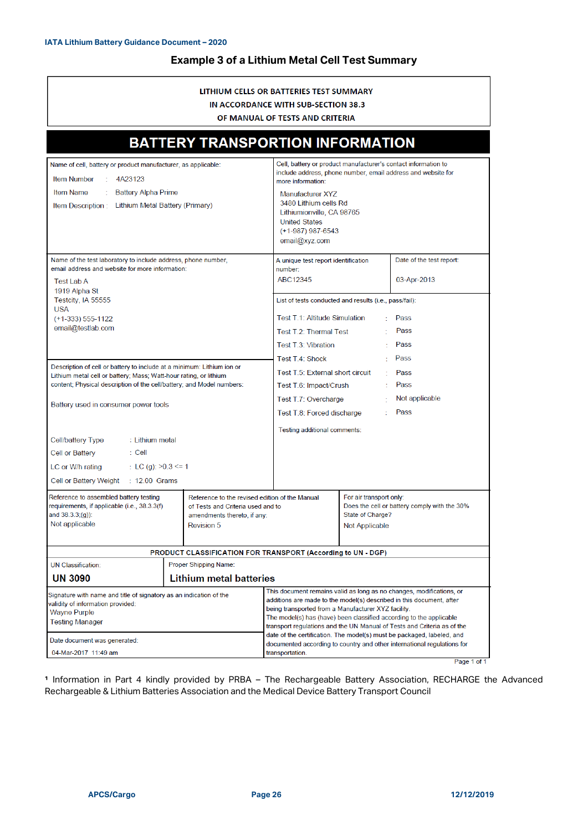## **Example 3 of a Lithium Metal Cell Test Summary**

#### LITHIUM CELLS OR BATTERIES TEST SUMMARY IN ACCORDANCE WITH SUB-SECTION 38.3

OF MANUAL OF TESTS AND CRITERIA

| <b>BATTERY TRANSPORTION INFORMATION</b>                                                                                                                                                                                                                                                                                                                                                                                                                                                                                                                                                                                                                                                                                                                                                               |                                                  |                                                                                                                                                                                                                                                                                                                                                                                                                                                                                                                               |  |                                         |
|-------------------------------------------------------------------------------------------------------------------------------------------------------------------------------------------------------------------------------------------------------------------------------------------------------------------------------------------------------------------------------------------------------------------------------------------------------------------------------------------------------------------------------------------------------------------------------------------------------------------------------------------------------------------------------------------------------------------------------------------------------------------------------------------------------|--------------------------------------------------|-------------------------------------------------------------------------------------------------------------------------------------------------------------------------------------------------------------------------------------------------------------------------------------------------------------------------------------------------------------------------------------------------------------------------------------------------------------------------------------------------------------------------------|--|-----------------------------------------|
| Name of cell, battery or product manufacturer, as applicable:<br>$\sim$<br><b>Item Number</b><br>4A23123<br>Item Name<br><b>Battery Alpha Prime</b><br>Item Description: Lithium Metal Battery (Primary)                                                                                                                                                                                                                                                                                                                                                                                                                                                                                                                                                                                              |                                                  | Cell, battery or product manufacturer's contact information to<br>include address, phone number, email address and website for<br>more information:<br>Manufacturer XYZ<br>3480 Lithium cells Rd<br>Lithiumionville, CA 98765<br><b>United States</b><br>$(+1-987)$ 987-6543<br>email@xyz.com                                                                                                                                                                                                                                 |  |                                         |
| Name of the test laboratory to include address, phone number,<br>email address and website for more information:<br><b>Test Lab A</b>                                                                                                                                                                                                                                                                                                                                                                                                                                                                                                                                                                                                                                                                 |                                                  | A unique test report identification<br>number:<br>ABC12345                                                                                                                                                                                                                                                                                                                                                                                                                                                                    |  | Date of the test report:<br>03-Apr-2013 |
| 1919 Alpha St<br>Testcity, IA 55555<br><b>USA</b><br>$(+1-333)$ 555-1122<br>email@testlab.com<br>Description of cell or battery to include at a minimum: Lithium ion or<br>Lithium metal cell or battery; Mass; Watt-hour rating, or lithium<br>content; Physical description of the cell/battery; and Model numbers:<br>Battery used in consumer power tools<br>Cell/battery Type<br>: Lithium metal<br>: Cell<br>Cell or Battery<br>LC or W/h rating<br>: LC (g): $>0.3$ <= 1<br>Cell or Battery Weight<br>: 12.00 Grams<br>Reference to assembled battery testing<br>Reference to the revised edition of the Manual<br>requirements, if applicable (i.e., 38.3.3(f)<br>of Tests and Criteria used and to<br>and 38.3.3;(q)):<br>amendments thereto, if any:<br>Not applicable<br><b>Revision 5</b> |                                                  | List of tests conducted and results (i.e., pass/fail):<br>Test T.1: Altitude Simulation<br>Pass<br>Pass<br>Test T.2: Thermal Test<br>Pass<br>Test T.3: Vibration<br>Pass<br>Test T.4: Shock<br>$\star$<br>Test T.5: External short circuit<br>Pass<br>Pass<br>Test T.6: Impact/Crush<br>Not applicable<br>Test T.7: Overcharge<br>Pass<br>Test T.8: Forced discharge<br>Testing additional comments:<br>For air transport only:<br>Does the cell or battery comply with the 30%<br>State of Charge?<br>Not Applicable         |  |                                         |
| PRODUCT CLASSIFICATION FOR TRANSPORT (According to UN - DGP)                                                                                                                                                                                                                                                                                                                                                                                                                                                                                                                                                                                                                                                                                                                                          |                                                  |                                                                                                                                                                                                                                                                                                                                                                                                                                                                                                                               |  |                                         |
| <b>UN Classification:</b><br>UN 3090                                                                                                                                                                                                                                                                                                                                                                                                                                                                                                                                                                                                                                                                                                                                                                  | Proper Shipping Name:<br>Lithium metal batteries |                                                                                                                                                                                                                                                                                                                                                                                                                                                                                                                               |  |                                         |
| Signature with name and title of signatory as an indication of the<br>validity of information provided:<br>Wayne Purple<br>Testing Manager<br>Date document was generated:<br>04-Mar-2017 11:49 am                                                                                                                                                                                                                                                                                                                                                                                                                                                                                                                                                                                                    |                                                  | This document remains valid as long as no changes, modifications, or<br>additions are made to the model(s) described in this document, after<br>being transported from a Manufacturer XYZ facility.<br>The model(s) has (have) been classified according to the applicable<br>transport regulations and the UN Manual of Tests and Criteria as of the<br>date of the certification. The model(s) must be packaged, labeled, and<br>documented according to country and other international regulations for<br>transportation. |  |                                         |
|                                                                                                                                                                                                                                                                                                                                                                                                                                                                                                                                                                                                                                                                                                                                                                                                       |                                                  |                                                                                                                                                                                                                                                                                                                                                                                                                                                                                                                               |  | Page 1 of 1                             |

<sup>1</sup> Information in Part 4 kindly provided by PRBA - The Rechargeable Battery Association, RECHARGE the Advanced Rechargeable & Lithium Batteries Association and the Medical Device Battery Transport Council